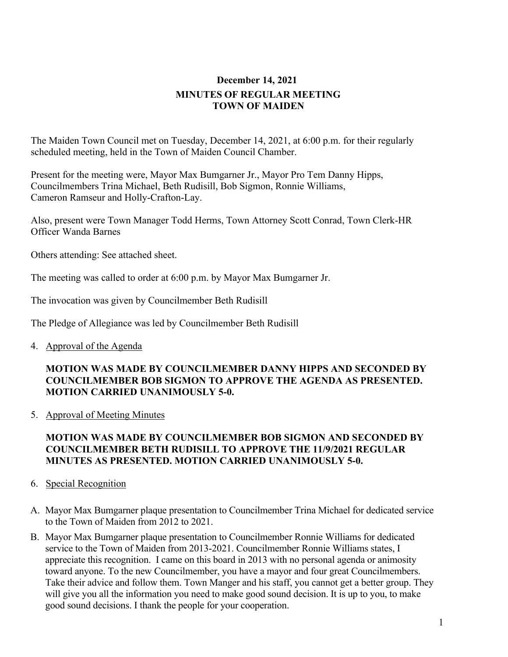# **December 14, 2021 MINUTES OF REGULAR MEETING TOWN OF MAIDEN**

The Maiden Town Council met on Tuesday, December 14, 2021, at 6:00 p.m. for their regularly scheduled meeting, held in the Town of Maiden Council Chamber.

Present for the meeting were, Mayor Max Bumgarner Jr., Mayor Pro Tem Danny Hipps, Councilmembers Trina Michael, Beth Rudisill, Bob Sigmon, Ronnie Williams, Cameron Ramseur and Holly-Crafton-Lay.

Also, present were Town Manager Todd Herms, Town Attorney Scott Conrad, Town Clerk-HR Officer Wanda Barnes

Others attending: See attached sheet.

The meeting was called to order at 6:00 p.m. by Mayor Max Bumgarner Jr.

The invocation was given by Councilmember Beth Rudisill

The Pledge of Allegiance was led by Councilmember Beth Rudisill

4. Approval of the Agenda

## **MOTION WAS MADE BY COUNCILMEMBER DANNY HIPPS AND SECONDED BY COUNCILMEMBER BOB SIGMON TO APPROVE THE AGENDA AS PRESENTED. MOTION CARRIED UNANIMOUSLY 5-0.**

5. Approval of Meeting Minutes

# **MOTION WAS MADE BY COUNCILMEMBER BOB SIGMON AND SECONDED BY COUNCILMEMBER BETH RUDISILL TO APPROVE THE 11/9/2021 REGULAR MINUTES AS PRESENTED. MOTION CARRIED UNANIMOUSLY 5-0.**

- 6. Special Recognition
- A. Mayor Max Bumgarner plaque presentation to Councilmember Trina Michael for dedicated service to the Town of Maiden from 2012 to 2021.
- B. Mayor Max Bumgarner plaque presentation to Councilmember Ronnie Williams for dedicated service to the Town of Maiden from 2013-2021. Councilmember Ronnie Williams states, I appreciate this recognition. I came on this board in 2013 with no personal agenda or animosity toward anyone. To the new Councilmember, you have a mayor and four great Councilmembers. Take their advice and follow them. Town Manger and his staff, you cannot get a better group. They will give you all the information you need to make good sound decision. It is up to you, to make good sound decisions. I thank the people for your cooperation.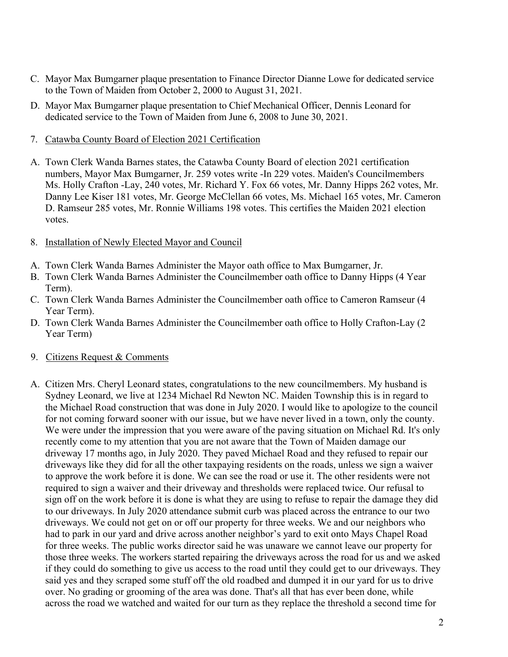- C. Mayor Max Bumgarner plaque presentation to Finance Director Dianne Lowe for dedicated service to the Town of Maiden from October 2, 2000 to August 31, 2021.
- D. Mayor Max Bumgarner plaque presentation to Chief Mechanical Officer, Dennis Leonard for dedicated service to the Town of Maiden from June 6, 2008 to June 30, 2021.
- 7. Catawba County Board of Election 2021 Certification
- A. Town Clerk Wanda Barnes states, the Catawba County Board of election 2021 certification numbers, Mayor Max Bumgarner, Jr. 259 votes write -In 229 votes. Maiden's Councilmembers Ms. Holly Crafton -Lay, 240 votes, Mr. Richard Y. Fox 66 votes, Mr. Danny Hipps 262 votes, Mr. Danny Lee Kiser 181 votes, Mr. George McClellan 66 votes, Ms. Michael 165 votes, Mr. Cameron D. Ramseur 285 votes, Mr. Ronnie Williams 198 votes. This certifies the Maiden 2021 election votes.
- 8. Installation of Newly Elected Mayor and Council
- A. Town Clerk Wanda Barnes Administer the Mayor oath office to Max Bumgarner, Jr.
- B. Town Clerk Wanda Barnes Administer the Councilmember oath office to Danny Hipps (4 Year Term).
- C. Town Clerk Wanda Barnes Administer the Councilmember oath office to Cameron Ramseur (4 Year Term).
- D. Town Clerk Wanda Barnes Administer the Councilmember oath office to Holly Crafton-Lay (2 Year Term)
- 9. Citizens Request & Comments
- A. Citizen Mrs. Cheryl Leonard states, congratulations to the new councilmembers. My husband is Sydney Leonard, we live at 1234 Michael Rd Newton NC. Maiden Township this is in regard to the Michael Road construction that was done in July 2020. I would like to apologize to the council for not coming forward sooner with our issue, but we have never lived in a town, only the county. We were under the impression that you were aware of the paving situation on Michael Rd. It's only recently come to my attention that you are not aware that the Town of Maiden damage our driveway 17 months ago, in July 2020. They paved Michael Road and they refused to repair our driveways like they did for all the other taxpaying residents on the roads, unless we sign a waiver to approve the work before it is done. We can see the road or use it. The other residents were not required to sign a waiver and their driveway and thresholds were replaced twice. Our refusal to sign off on the work before it is done is what they are using to refuse to repair the damage they did to our driveways. In July 2020 attendance submit curb was placed across the entrance to our two driveways. We could not get on or off our property for three weeks. We and our neighbors who had to park in our yard and drive across another neighbor's yard to exit onto Mays Chapel Road for three weeks. The public works director said he was unaware we cannot leave our property for those three weeks. The workers started repairing the driveways across the road for us and we asked if they could do something to give us access to the road until they could get to our driveways. They said yes and they scraped some stuff off the old roadbed and dumped it in our yard for us to drive over. No grading or grooming of the area was done. That's all that has ever been done, while across the road we watched and waited for our turn as they replace the threshold a second time for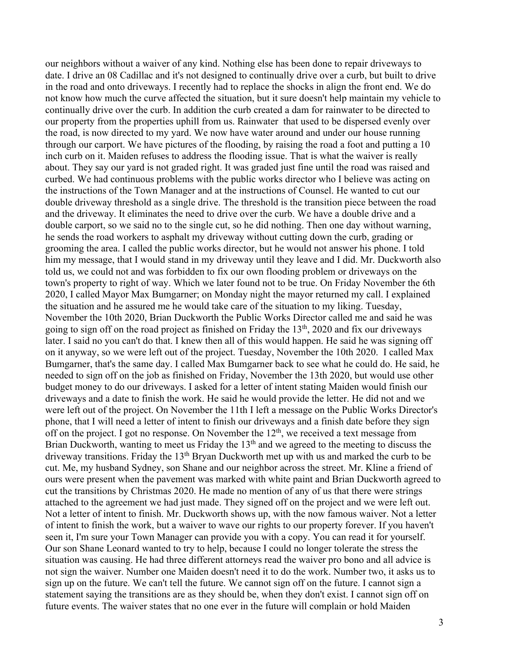our neighbors without a waiver of any kind. Nothing else has been done to repair driveways to date. I drive an 08 Cadillac and it's not designed to continually drive over a curb, but built to drive in the road and onto driveways. I recently had to replace the shocks in align the front end. We do not know how much the curve affected the situation, but it sure doesn't help maintain my vehicle to continually drive over the curb. In addition the curb created a dam for rainwater to be directed to our property from the properties uphill from us. Rainwater that used to be dispersed evenly over the road, is now directed to my yard. We now have water around and under our house running through our carport. We have pictures of the flooding, by raising the road a foot and putting a 10 inch curb on it. Maiden refuses to address the flooding issue. That is what the waiver is really about. They say our yard is not graded right. It was graded just fine until the road was raised and curbed. We had continuous problems with the public works director who I believe was acting on the instructions of the Town Manager and at the instructions of Counsel. He wanted to cut our double driveway threshold as a single drive. The threshold is the transition piece between the road and the driveway. It eliminates the need to drive over the curb. We have a double drive and a double carport, so we said no to the single cut, so he did nothing. Then one day without warning, he sends the road workers to asphalt my driveway without cutting down the curb, grading or grooming the area. I called the public works director, but he would not answer his phone. I told him my message, that I would stand in my driveway until they leave and I did. Mr. Duckworth also told us, we could not and was forbidden to fix our own flooding problem or driveways on the town's property to right of way. Which we later found not to be true. On Friday November the 6th 2020, I called Mayor Max Bumgarner; on Monday night the mayor returned my call. I explained the situation and he assured me he would take care of the situation to my liking. Tuesday, November the 10th 2020, Brian Duckworth the Public Works Director called me and said he was going to sign off on the road project as finished on Friday the  $13<sup>th</sup>$ , 2020 and fix our driveways later. I said no you can't do that. I knew then all of this would happen. He said he was signing off on it anyway, so we were left out of the project. Tuesday, November the 10th 2020. I called Max Bumgarner, that's the same day. I called Max Bumgarner back to see what he could do. He said, he needed to sign off on the job as finished on Friday, November the 13th 2020, but would use other budget money to do our driveways. I asked for a letter of intent stating Maiden would finish our driveways and a date to finish the work. He said he would provide the letter. He did not and we were left out of the project. On November the 11th I left a message on the Public Works Director's phone, that I will need a letter of intent to finish our driveways and a finish date before they sign off on the project. I got no response. On November the  $12<sup>th</sup>$ , we received a text message from Brian Duckworth, wanting to meet us Friday the 13<sup>th</sup> and we agreed to the meeting to discuss the driveway transitions. Friday the 13<sup>th</sup> Bryan Duckworth met up with us and marked the curb to be cut. Me, my husband Sydney, son Shane and our neighbor across the street. Mr. Kline a friend of ours were present when the pavement was marked with white paint and Brian Duckworth agreed to cut the transitions by Christmas 2020. He made no mention of any of us that there were strings attached to the agreement we had just made. They signed off on the project and we were left out. Not a letter of intent to finish. Mr. Duckworth shows up, with the now famous waiver. Not a letter of intent to finish the work, but a waiver to wave our rights to our property forever. If you haven't seen it, I'm sure your Town Manager can provide you with a copy. You can read it for yourself. Our son Shane Leonard wanted to try to help, because I could no longer tolerate the stress the situation was causing. He had three different attorneys read the waiver pro bono and all advice is not sign the waiver. Number one Maiden doesn't need it to do the work. Number two, it asks us to sign up on the future. We can't tell the future. We cannot sign off on the future. I cannot sign a statement saying the transitions are as they should be, when they don't exist. I cannot sign off on future events. The waiver states that no one ever in the future will complain or hold Maiden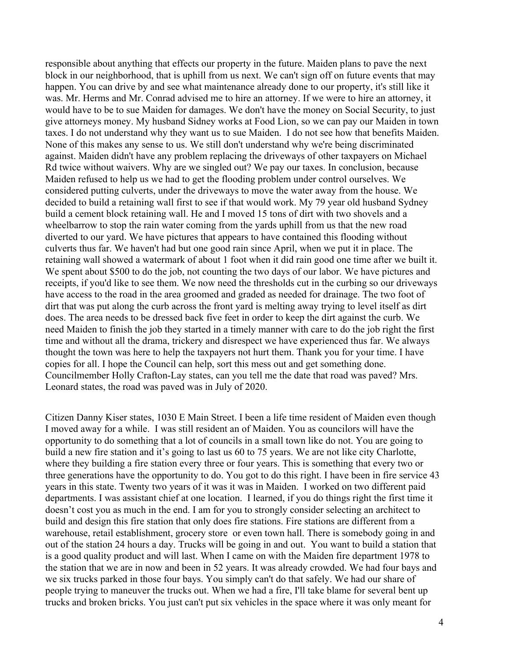responsible about anything that effects our property in the future. Maiden plans to pave the next block in our neighborhood, that is uphill from us next. We can't sign off on future events that may happen. You can drive by and see what maintenance already done to our property, it's still like it was. Mr. Herms and Mr. Conrad advised me to hire an attorney. If we were to hire an attorney, it would have to be to sue Maiden for damages. We don't have the money on Social Security, to just give attorneys money. My husband Sidney works at Food Lion, so we can pay our Maiden in town taxes. I do not understand why they want us to sue Maiden. I do not see how that benefits Maiden. None of this makes any sense to us. We still don't understand why we're being discriminated against. Maiden didn't have any problem replacing the driveways of other taxpayers on Michael Rd twice without waivers. Why are we singled out? We pay our taxes. In conclusion, because Maiden refused to help us we had to get the flooding problem under control ourselves. We considered putting culverts, under the driveways to move the water away from the house. We decided to build a retaining wall first to see if that would work. My 79 year old husband Sydney build a cement block retaining wall. He and I moved 15 tons of dirt with two shovels and a wheelbarrow to stop the rain water coming from the yards uphill from us that the new road diverted to our yard. We have pictures that appears to have contained this flooding without culverts thus far. We haven't had but one good rain since April, when we put it in place. The retaining wall showed a watermark of about 1 foot when it did rain good one time after we built it. We spent about \$500 to do the job, not counting the two days of our labor. We have pictures and receipts, if you'd like to see them. We now need the thresholds cut in the curbing so our driveways have access to the road in the area groomed and graded as needed for drainage. The two foot of dirt that was put along the curb across the front yard is melting away trying to level itself as dirt does. The area needs to be dressed back five feet in order to keep the dirt against the curb. We need Maiden to finish the job they started in a timely manner with care to do the job right the first time and without all the drama, trickery and disrespect we have experienced thus far. We always thought the town was here to help the taxpayers not hurt them. Thank you for your time. I have copies for all. I hope the Council can help, sort this mess out and get something done. Councilmember Holly Crafton-Lay states, can you tell me the date that road was paved? Mrs. Leonard states, the road was paved was in July of 2020.

Citizen Danny Kiser states, 1030 E Main Street. I been a life time resident of Maiden even though I moved away for a while. I was still resident an of Maiden. You as councilors will have the opportunity to do something that a lot of councils in a small town like do not. You are going to build a new fire station and it's going to last us 60 to 75 years. We are not like city Charlotte, where they building a fire station every three or four years. This is something that every two or three generations have the opportunity to do. You got to do this right. I have been in fire service 43 years in this state. Twenty two years of it was it was in Maiden. I worked on two different paid departments. I was assistant chief at one location. I learned, if you do things right the first time it doesn't cost you as much in the end. I am for you to strongly consider selecting an architect to build and design this fire station that only does fire stations. Fire stations are different from a warehouse, retail establishment, grocery store or even town hall. There is somebody going in and out of the station 24 hours a day. Trucks will be going in and out. You want to build a station that is a good quality product and will last. When I came on with the Maiden fire department 1978 to the station that we are in now and been in 52 years. It was already crowded. We had four bays and we six trucks parked in those four bays. You simply can't do that safely. We had our share of people trying to maneuver the trucks out. When we had a fire, I'll take blame for several bent up trucks and broken bricks. You just can't put six vehicles in the space where it was only meant for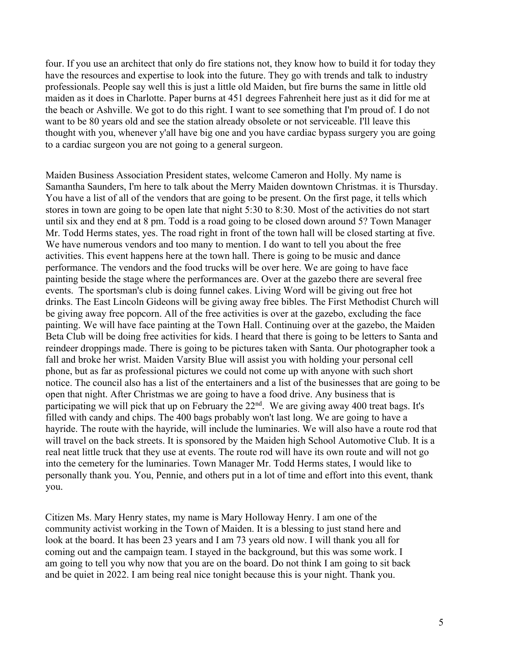four. If you use an architect that only do fire stations not, they know how to build it for today they have the resources and expertise to look into the future. They go with trends and talk to industry professionals. People say well this is just a little old Maiden, but fire burns the same in little old maiden as it does in Charlotte. Paper burns at 451 degrees Fahrenheit here just as it did for me at the beach or Ashville. We got to do this right. I want to see something that I'm proud of. I do not want to be 80 years old and see the station already obsolete or not serviceable. I'll leave this thought with you, whenever y'all have big one and you have cardiac bypass surgery you are going to a cardiac surgeon you are not going to a general surgeon.

Maiden Business Association President states, welcome Cameron and Holly. My name is Samantha Saunders, I'm here to talk about the Merry Maiden downtown Christmas. it is Thursday. You have a list of all of the vendors that are going to be present. On the first page, it tells which stores in town are going to be open late that night 5:30 to 8:30. Most of the activities do not start until six and they end at 8 pm. Todd is a road going to be closed down around 5? Town Manager Mr. Todd Herms states, yes. The road right in front of the town hall will be closed starting at five. We have numerous vendors and too many to mention. I do want to tell you about the free activities. This event happens here at the town hall. There is going to be music and dance performance. The vendors and the food trucks will be over here. We are going to have face painting beside the stage where the performances are. Over at the gazebo there are several free events. The sportsman's club is doing funnel cakes. Living Word will be giving out free hot drinks. The East Lincoln Gideons will be giving away free bibles. The First Methodist Church will be giving away free popcorn. All of the free activities is over at the gazebo, excluding the face painting. We will have face painting at the Town Hall. Continuing over at the gazebo, the Maiden Beta Club will be doing free activities for kids. I heard that there is going to be letters to Santa and reindeer droppings made. There is going to be pictures taken with Santa. Our photographer took a fall and broke her wrist. Maiden Varsity Blue will assist you with holding your personal cell phone, but as far as professional pictures we could not come up with anyone with such short notice. The council also has a list of the entertainers and a list of the businesses that are going to be open that night. After Christmas we are going to have a food drive. Any business that is participating we will pick that up on February the  $22<sup>nd</sup>$ . We are giving away 400 treat bags. It's filled with candy and chips. The 400 bags probably won't last long. We are going to have a hayride. The route with the hayride, will include the luminaries. We will also have a route rod that will travel on the back streets. It is sponsored by the Maiden high School Automotive Club. It is a real neat little truck that they use at events. The route rod will have its own route and will not go into the cemetery for the luminaries. Town Manager Mr. Todd Herms states, I would like to personally thank you. You, Pennie, and others put in a lot of time and effort into this event, thank you.

Citizen Ms. Mary Henry states, my name is Mary Holloway Henry. I am one of the community activist working in the Town of Maiden. It is a blessing to just stand here and look at the board. It has been 23 years and I am 73 years old now. I will thank you all for coming out and the campaign team. I stayed in the background, but this was some work. I am going to tell you why now that you are on the board. Do not think I am going to sit back and be quiet in 2022. I am being real nice tonight because this is your night. Thank you.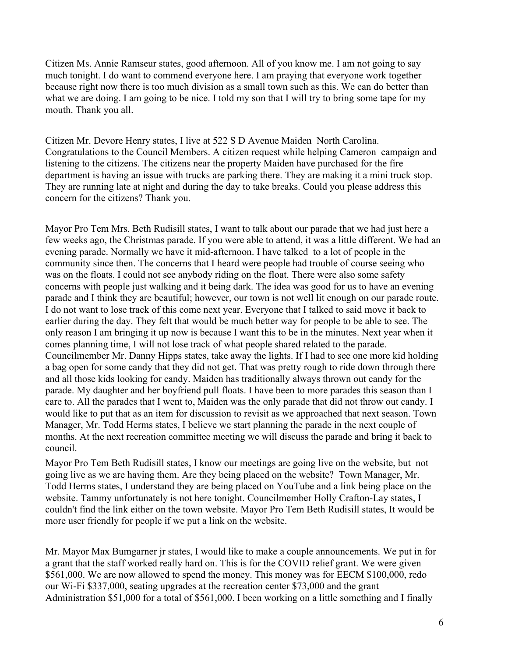Citizen Ms. Annie Ramseur states, good afternoon. All of you know me. I am not going to say much tonight. I do want to commend everyone here. I am praying that everyone work together because right now there is too much division as a small town such as this. We can do better than what we are doing. I am going to be nice. I told my son that I will try to bring some tape for my mouth. Thank you all.

Citizen Mr. Devore Henry states, I live at 522 S D Avenue Maiden North Carolina. Congratulations to the Council Members. A citizen request while helping Cameron campaign and listening to the citizens. The citizens near the property Maiden have purchased for the fire department is having an issue with trucks are parking there. They are making it a mini truck stop. They are running late at night and during the day to take breaks. Could you please address this concern for the citizens? Thank you.

Mayor Pro Tem Mrs. Beth Rudisill states, I want to talk about our parade that we had just here a few weeks ago, the Christmas parade. If you were able to attend, it was a little different. We had an evening parade. Normally we have it mid-afternoon. I have talked to a lot of people in the community since then. The concerns that I heard were people had trouble of course seeing who was on the floats. I could not see anybody riding on the float. There were also some safety concerns with people just walking and it being dark. The idea was good for us to have an evening parade and I think they are beautiful; however, our town is not well lit enough on our parade route. I do not want to lose track of this come next year. Everyone that I talked to said move it back to earlier during the day. They felt that would be much better way for people to be able to see. The only reason I am bringing it up now is because I want this to be in the minutes. Next year when it comes planning time, I will not lose track of what people shared related to the parade. Councilmember Mr. Danny Hipps states, take away the lights. If I had to see one more kid holding a bag open for some candy that they did not get. That was pretty rough to ride down through there and all those kids looking for candy. Maiden has traditionally always thrown out candy for the parade. My daughter and her boyfriend pull floats. I have been to more parades this season than I care to. All the parades that I went to, Maiden was the only parade that did not throw out candy. I would like to put that as an item for discussion to revisit as we approached that next season. Town Manager, Mr. Todd Herms states, I believe we start planning the parade in the next couple of months. At the next recreation committee meeting we will discuss the parade and bring it back to council.

Mayor Pro Tem Beth Rudisill states, I know our meetings are going live on the website, but not going live as we are having them. Are they being placed on the website? Town Manager, Mr. Todd Herms states, I understand they are being placed on YouTube and a link being place on the website. Tammy unfortunately is not here tonight. Councilmember Holly Crafton-Lay states, I couldn't find the link either on the town website. Mayor Pro Tem Beth Rudisill states, It would be more user friendly for people if we put a link on the website.

Mr. Mayor Max Bumgarner jr states, I would like to make a couple announcements. We put in for a grant that the staff worked really hard on. This is for the COVID relief grant. We were given \$561,000. We are now allowed to spend the money. This money was for EECM \$100,000, redo our Wi-Fi \$337,000, seating upgrades at the recreation center \$73,000 and the grant Administration \$51,000 for a total of \$561,000. I been working on a little something and I finally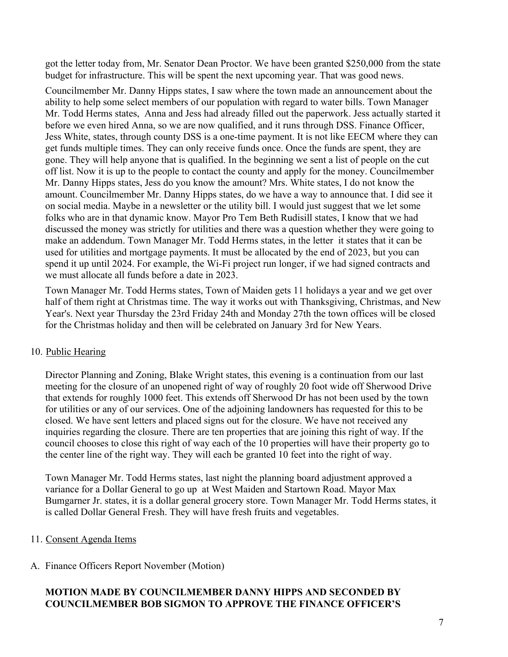got the letter today from, Mr. Senator Dean Proctor. We have been granted \$250,000 from the state budget for infrastructure. This will be spent the next upcoming year. That was good news.

Councilmember Mr. Danny Hipps states, I saw where the town made an announcement about the ability to help some select members of our population with regard to water bills. Town Manager Mr. Todd Herms states, Anna and Jess had already filled out the paperwork. Jess actually started it before we even hired Anna, so we are now qualified, and it runs through DSS. Finance Officer, Jess White, states, through county DSS is a one-time payment. It is not like EECM where they can get funds multiple times. They can only receive funds once. Once the funds are spent, they are gone. They will help anyone that is qualified. In the beginning we sent a list of people on the cut off list. Now it is up to the people to contact the county and apply for the money. Councilmember Mr. Danny Hipps states, Jess do you know the amount? Mrs. White states, I do not know the amount. Councilmember Mr. Danny Hipps states, do we have a way to announce that. I did see it on social media. Maybe in a newsletter or the utility bill. I would just suggest that we let some folks who are in that dynamic know. Mayor Pro Tem Beth Rudisill states, I know that we had discussed the money was strictly for utilities and there was a question whether they were going to make an addendum. Town Manager Mr. Todd Herms states, in the letter it states that it can be used for utilities and mortgage payments. It must be allocated by the end of 2023, but you can spend it up until 2024. For example, the Wi-Fi project run longer, if we had signed contracts and we must allocate all funds before a date in 2023.

Town Manager Mr. Todd Herms states, Town of Maiden gets 11 holidays a year and we get over half of them right at Christmas time. The way it works out with Thanksgiving, Christmas, and New Year's. Next year Thursday the 23rd Friday 24th and Monday 27th the town offices will be closed for the Christmas holiday and then will be celebrated on January 3rd for New Years.

# 10. Public Hearing

Director Planning and Zoning, Blake Wright states, this evening is a continuation from our last meeting for the closure of an unopened right of way of roughly 20 foot wide off Sherwood Drive that extends for roughly 1000 feet. This extends off Sherwood Dr has not been used by the town for utilities or any of our services. One of the adjoining landowners has requested for this to be closed. We have sent letters and placed signs out for the closure. We have not received any inquiries regarding the closure. There are ten properties that are joining this right of way. If the council chooses to close this right of way each of the 10 properties will have their property go to the center line of the right way. They will each be granted 10 feet into the right of way.

Town Manager Mr. Todd Herms states, last night the planning board adjustment approved a variance for a Dollar General to go up at West Maiden and Startown Road. Mayor Max Bumgarner Jr. states, it is a dollar general grocery store. Town Manager Mr. Todd Herms states, it is called Dollar General Fresh. They will have fresh fruits and vegetables.

# 11. Consent Agenda Items

# A. Finance Officers Report November (Motion)

# **MOTION MADE BY COUNCILMEMBER DANNY HIPPS AND SECONDED BY COUNCILMEMBER BOB SIGMON TO APPROVE THE FINANCE OFFICER'S**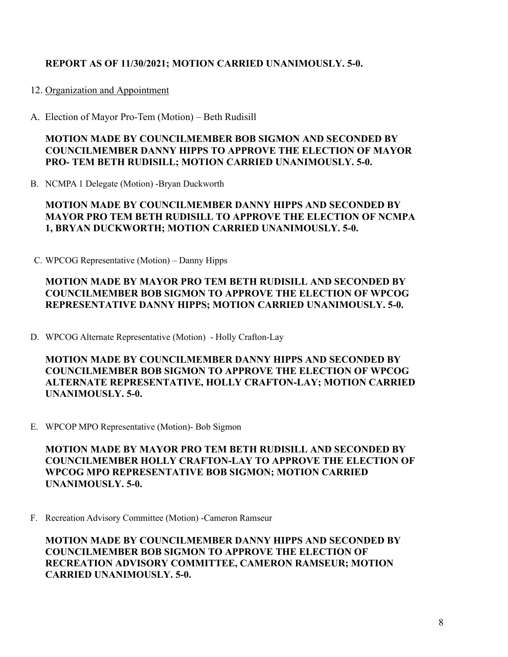# **REPORT AS OF 11/30/2021; MOTION CARRIED UNANIMOUSLY. 5-0.**

#### 12. Organization and Appointment

A. Election of Mayor Pro-Tem (Motion) – Beth Rudisill

## **MOTION MADE BY COUNCILMEMBER BOB SIGMON AND SECONDED BY COUNCILMEMBER DANNY HIPPS TO APPROVE THE ELECTION OF MAYOR PRO- TEM BETH RUDISILL; MOTION CARRIED UNANIMOUSLY. 5-0.**

B. NCMPA 1 Delegate (Motion) -Bryan Duckworth

## **MOTION MADE BY COUNCILMEMBER DANNY HIPPS AND SECONDED BY MAYOR PRO TEM BETH RUDISILL TO APPROVE THE ELECTION OF NCMPA 1, BRYAN DUCKWORTH; MOTION CARRIED UNANIMOUSLY. 5-0.**

C. WPCOG Representative (Motion) – Danny Hipps

# **MOTION MADE BY MAYOR PRO TEM BETH RUDISILL AND SECONDED BY COUNCILMEMBER BOB SIGMON TO APPROVE THE ELECTION OF WPCOG REPRESENTATIVE DANNY HIPPS; MOTION CARRIED UNANIMOUSLY. 5-0.**

D. WPCOG Alternate Representative (Motion) - Holly Crafton-Lay

**MOTION MADE BY COUNCILMEMBER DANNY HIPPS AND SECONDED BY COUNCILMEMBER BOB SIGMON TO APPROVE THE ELECTION OF WPCOG ALTERNATE REPRESENTATIVE, HOLLY CRAFTON-LAY; MOTION CARRIED UNANIMOUSLY. 5-0.**

E. WPCOP MPO Representative (Motion)- Bob Sigmon

**MOTION MADE BY MAYOR PRO TEM BETH RUDISILL AND SECONDED BY COUNCILMEMBER HOLLY CRAFTON-LAY TO APPROVE THE ELECTION OF WPCOG MPO REPRESENTATIVE BOB SIGMON; MOTION CARRIED UNANIMOUSLY. 5-0.**

F. Recreation Advisory Committee (Motion) -Cameron Ramseur

**MOTION MADE BY COUNCILMEMBER DANNY HIPPS AND SECONDED BY COUNCILMEMBER BOB SIGMON TO APPROVE THE ELECTION OF RECREATION ADVISORY COMMITTEE, CAMERON RAMSEUR; MOTION CARRIED UNANIMOUSLY. 5-0.**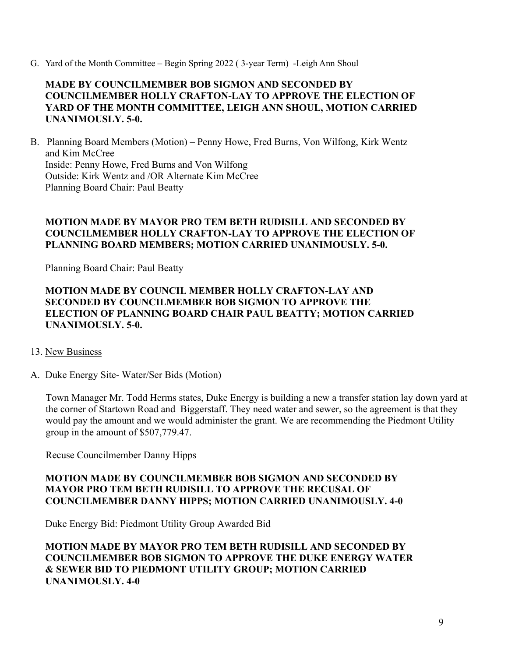G. Yard of the Month Committee – Begin Spring 2022 ( 3-year Term) -Leigh Ann Shoul

## **MADE BY COUNCILMEMBER BOB SIGMON AND SECONDED BY COUNCILMEMBER HOLLY CRAFTON-LAY TO APPROVE THE ELECTION OF YARD OF THE MONTH COMMITTEE, LEIGH ANN SHOUL, MOTION CARRIED UNANIMOUSLY. 5-0.**

B. Planning Board Members (Motion) – Penny Howe, Fred Burns, Von Wilfong, Kirk Wentz and Kim McCree Inside: Penny Howe, Fred Burns and Von Wilfong Outside: Kirk Wentz and /OR Alternate Kim McCree Planning Board Chair: Paul Beatty

## **MOTION MADE BY MAYOR PRO TEM BETH RUDISILL AND SECONDED BY COUNCILMEMBER HOLLY CRAFTON-LAY TO APPROVE THE ELECTION OF PLANNING BOARD MEMBERS; MOTION CARRIED UNANIMOUSLY. 5-0.**

Planning Board Chair: Paul Beatty

## **MOTION MADE BY COUNCIL MEMBER HOLLY CRAFTON-LAY AND SECONDED BY COUNCILMEMBER BOB SIGMON TO APPROVE THE ELECTION OF PLANNING BOARD CHAIR PAUL BEATTY; MOTION CARRIED UNANIMOUSLY. 5-0.**

#### 13. New Business

A. Duke Energy Site- Water/Ser Bids (Motion)

Town Manager Mr. Todd Herms states, Duke Energy is building a new a transfer station lay down yard at the corner of Startown Road and Biggerstaff. They need water and sewer, so the agreement is that they would pay the amount and we would administer the grant. We are recommending the Piedmont Utility group in the amount of \$507,779.47.

Recuse Councilmember Danny Hipps

## **MOTION MADE BY COUNCILMEMBER BOB SIGMON AND SECONDED BY MAYOR PRO TEM BETH RUDISILL TO APPROVE THE RECUSAL OF COUNCILMEMBER DANNY HIPPS; MOTION CARRIED UNANIMOUSLY. 4-0**

Duke Energy Bid: Piedmont Utility Group Awarded Bid

# **MOTION MADE BY MAYOR PRO TEM BETH RUDISILL AND SECONDED BY COUNCILMEMBER BOB SIGMON TO APPROVE THE DUKE ENERGY WATER & SEWER BID TO PIEDMONT UTILITY GROUP; MOTION CARRIED UNANIMOUSLY. 4-0**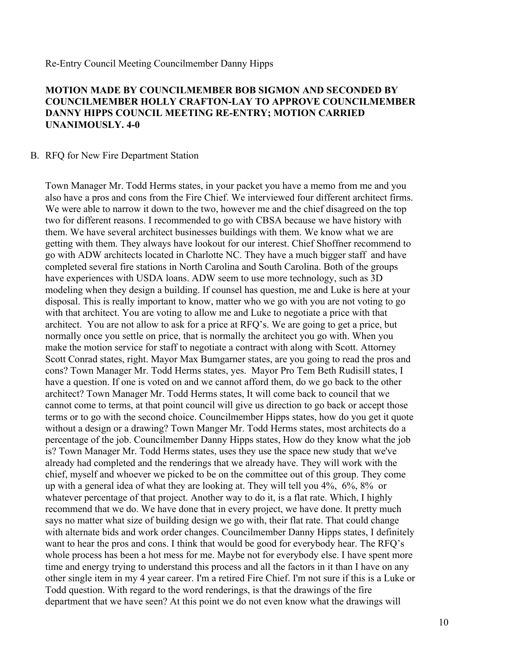Re-Entry Council Meeting Councilmember Danny Hipps

#### **MOTION MADE BY COUNCILMEMBER BOB SIGMON AND SECONDED BY COUNCILMEMBER HOLLY CRAFTON-LAY TO APPROVE COUNCILMEMBER DANNY HIPPS COUNCIL MEETING RE-ENTRY; MOTION CARRIED UNANIMOUSLY. 4-0**

#### B. RFQ for New Fire Department Station

Town Manager Mr. Todd Herms states, in your packet you have a memo from me and you also have a pros and cons from the Fire Chief. We interviewed four different architect firms. We were able to narrow it down to the two, however me and the chief disagreed on the top two for different reasons. I recommended to go with CBSA because we have history with them. We have several architect businesses buildings with them. We know what we are getting with them. They always have lookout for our interest. Chief Shoffner recommend to go with ADW architects located in Charlotte NC. They have a much bigger staff and have completed several fire stations in North Carolina and South Carolina. Both of the groups have experiences with USDA loans. ADW seem to use more technology, such as 3D modeling when they design a building. If counsel has question, me and Luke is here at your disposal. This is really important to know, matter who we go with you are not voting to go with that architect. You are voting to allow me and Luke to negotiate a price with that architect. You are not allow to ask for a price at RFQ's. We are going to get a price, but normally once you settle on price, that is normally the architect you go with. When you make the motion service for staff to negotiate a contract with along with Scott. Attorney Scott Conrad states, right. Mayor Max Bumgarner states, are you going to read the pros and cons? Town Manager Mr. Todd Herms states, yes. Mayor Pro Tem Beth Rudisill states, I have a question. If one is voted on and we cannot afford them, do we go back to the other architect? Town Manager Mr. Todd Herms states, It will come back to council that we cannot come to terms, at that point council will give us direction to go back or accept those terms or to go with the second choice. Councilmember Hipps states, how do you get it quote without a design or a drawing? Town Manger Mr. Todd Herms states, most architects do a percentage of the job. Councilmember Danny Hipps states, How do they know what the job is? Town Manager Mr. Todd Herms states, uses they use the space new study that we've already had completed and the renderings that we already have. They will work with the chief, myself and whoever we picked to be on the committee out of this group. They come up with a general idea of what they are looking at. They will tell you 4%, 6%, 8% or whatever percentage of that project. Another way to do it, is a flat rate. Which, I highly recommend that we do. We have done that in every project, we have done. It pretty much says no matter what size of building design we go with, their flat rate. That could change with alternate bids and work order changes. Councilmember Danny Hipps states, I definitely want to hear the pros and cons. I think that would be good for everybody hear. The RFQ's whole process has been a hot mess for me. Maybe not for everybody else. I have spent more time and energy trying to understand this process and all the factors in it than I have on any other single item in my 4 year career. I'm a retired Fire Chief. I'm not sure if this is a Luke or Todd question. With regard to the word renderings, is that the drawings of the fire department that we have seen? At this point we do not even know what the drawings will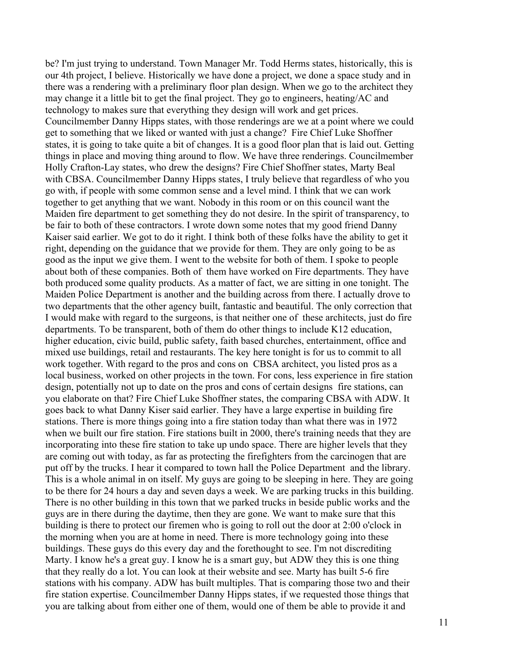be? I'm just trying to understand. Town Manager Mr. Todd Herms states, historically, this is our 4th project, I believe. Historically we have done a project, we done a space study and in there was a rendering with a preliminary floor plan design. When we go to the architect they may change it a little bit to get the final project. They go to engineers, heating/AC and technology to makes sure that everything they design will work and get prices. Councilmember Danny Hipps states, with those renderings are we at a point where we could get to something that we liked or wanted with just a change? Fire Chief Luke Shoffner states, it is going to take quite a bit of changes. It is a good floor plan that is laid out. Getting things in place and moving thing around to flow. We have three renderings. Councilmember Holly Crafton-Lay states, who drew the designs? Fire Chief Shoffner states, Marty Beal with CBSA. Councilmember Danny Hipps states, I truly believe that regardless of who you go with, if people with some common sense and a level mind. I think that we can work together to get anything that we want. Nobody in this room or on this council want the Maiden fire department to get something they do not desire. In the spirit of transparency, to be fair to both of these contractors. I wrote down some notes that my good friend Danny Kaiser said earlier. We got to do it right. I think both of these folks have the ability to get it right, depending on the guidance that we provide for them. They are only going to be as good as the input we give them. I went to the website for both of them. I spoke to people about both of these companies. Both of them have worked on Fire departments. They have both produced some quality products. As a matter of fact, we are sitting in one tonight. The Maiden Police Department is another and the building across from there. I actually drove to two departments that the other agency built, fantastic and beautiful. The only correction that I would make with regard to the surgeons, is that neither one of these architects, just do fire departments. To be transparent, both of them do other things to include K12 education, higher education, civic build, public safety, faith based churches, entertainment, office and mixed use buildings, retail and restaurants. The key here tonight is for us to commit to all work together. With regard to the pros and cons on CBSA architect, you listed pros as a local business, worked on other projects in the town. For cons, less experience in fire station design, potentially not up to date on the pros and cons of certain designs fire stations, can you elaborate on that? Fire Chief Luke Shoffner states, the comparing CBSA with ADW. It goes back to what Danny Kiser said earlier. They have a large expertise in building fire stations. There is more things going into a fire station today than what there was in 1972 when we built our fire station. Fire stations built in 2000, there's training needs that they are incorporating into these fire station to take up undo space. There are higher levels that they are coming out with today, as far as protecting the firefighters from the carcinogen that are put off by the trucks. I hear it compared to town hall the Police Department and the library. This is a whole animal in on itself. My guys are going to be sleeping in here. They are going to be there for 24 hours a day and seven days a week. We are parking trucks in this building. There is no other building in this town that we parked trucks in beside public works and the guys are in there during the daytime, then they are gone. We want to make sure that this building is there to protect our firemen who is going to roll out the door at 2:00 o'clock in the morning when you are at home in need. There is more technology going into these buildings. These guys do this every day and the forethought to see. I'm not discrediting Marty. I know he's a great guy. I know he is a smart guy, but ADW they this is one thing that they really do a lot. You can look at their website and see. Marty has built 5-6 fire stations with his company. ADW has built multiples. That is comparing those two and their fire station expertise. Councilmember Danny Hipps states, if we requested those things that you are talking about from either one of them, would one of them be able to provide it and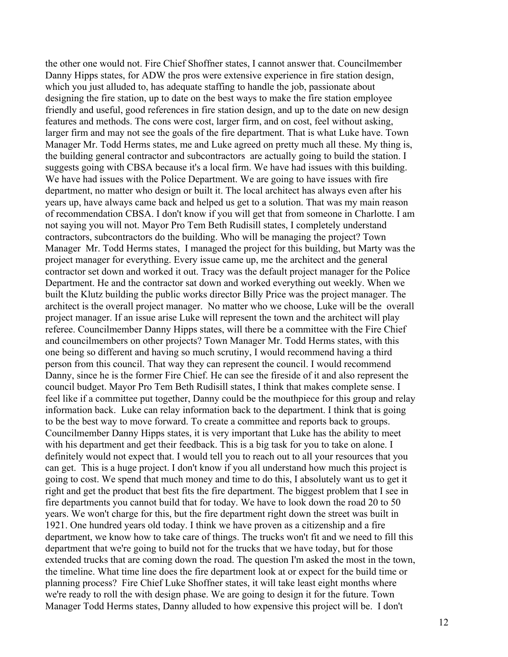the other one would not. Fire Chief Shoffner states, I cannot answer that. Councilmember Danny Hipps states, for ADW the pros were extensive experience in fire station design, which you just alluded to, has adequate staffing to handle the job, passionate about designing the fire station, up to date on the best ways to make the fire station employee friendly and useful, good references in fire station design, and up to the date on new design features and methods. The cons were cost, larger firm, and on cost, feel without asking, larger firm and may not see the goals of the fire department. That is what Luke have. Town Manager Mr. Todd Herms states, me and Luke agreed on pretty much all these. My thing is, the building general contractor and subcontractors are actually going to build the station. I suggests going with CBSA because it's a local firm. We have had issues with this building. We have had issues with the Police Department. We are going to have issues with fire department, no matter who design or built it. The local architect has always even after his years up, have always came back and helped us get to a solution. That was my main reason of recommendation CBSA. I don't know if you will get that from someone in Charlotte. I am not saying you will not. Mayor Pro Tem Beth Rudisill states, I completely understand contractors, subcontractors do the building. Who will be managing the project? Town Manager Mr. Todd Herms states, I managed the project for this building, but Marty was the project manager for everything. Every issue came up, me the architect and the general contractor set down and worked it out. Tracy was the default project manager for the Police Department. He and the contractor sat down and worked everything out weekly. When we built the Klutz building the public works director Billy Price was the project manager. The architect is the overall project manager. No matter who we choose, Luke will be the overall project manager. If an issue arise Luke will represent the town and the architect will play referee. Councilmember Danny Hipps states, will there be a committee with the Fire Chief and councilmembers on other projects? Town Manager Mr. Todd Herms states, with this one being so different and having so much scrutiny, I would recommend having a third person from this council. That way they can represent the council. I would recommend Danny, since he is the former Fire Chief. He can see the fireside of it and also represent the council budget. Mayor Pro Tem Beth Rudisill states, I think that makes complete sense. I feel like if a committee put together, Danny could be the mouthpiece for this group and relay information back. Luke can relay information back to the department. I think that is going to be the best way to move forward. To create a committee and reports back to groups. Councilmember Danny Hipps states, it is very important that Luke has the ability to meet with his department and get their feedback. This is a big task for you to take on alone. I definitely would not expect that. I would tell you to reach out to all your resources that you can get. This is a huge project. I don't know if you all understand how much this project is going to cost. We spend that much money and time to do this, I absolutely want us to get it right and get the product that best fits the fire department. The biggest problem that I see in fire departments you cannot build that for today. We have to look down the road 20 to 50 years. We won't charge for this, but the fire department right down the street was built in 1921. One hundred years old today. I think we have proven as a citizenship and a fire department, we know how to take care of things. The trucks won't fit and we need to fill this department that we're going to build not for the trucks that we have today, but for those extended trucks that are coming down the road. The question I'm asked the most in the town, the timeline. What time line does the fire department look at or expect for the build time or planning process? Fire Chief Luke Shoffner states, it will take least eight months where we're ready to roll the with design phase. We are going to design it for the future. Town Manager Todd Herms states, Danny alluded to how expensive this project will be. I don't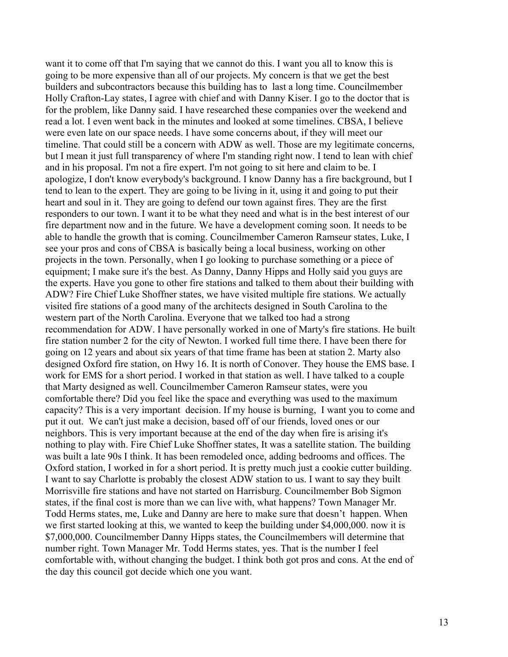want it to come off that I'm saying that we cannot do this. I want you all to know this is going to be more expensive than all of our projects. My concern is that we get the best builders and subcontractors because this building has to last a long time. Councilmember Holly Crafton-Lay states, I agree with chief and with Danny Kiser. I go to the doctor that is for the problem, like Danny said. I have researched these companies over the weekend and read a lot. I even went back in the minutes and looked at some timelines. CBSA, I believe were even late on our space needs. I have some concerns about, if they will meet our timeline. That could still be a concern with ADW as well. Those are my legitimate concerns, but I mean it just full transparency of where I'm standing right now. I tend to lean with chief and in his proposal. I'm not a fire expert. I'm not going to sit here and claim to be. I apologize, I don't know everybody's background. I know Danny has a fire background, but I tend to lean to the expert. They are going to be living in it, using it and going to put their heart and soul in it. They are going to defend our town against fires. They are the first responders to our town. I want it to be what they need and what is in the best interest of our fire department now and in the future. We have a development coming soon. It needs to be able to handle the growth that is coming. Councilmember Cameron Ramseur states, Luke, I see your pros and cons of CBSA is basically being a local business, working on other projects in the town. Personally, when I go looking to purchase something or a piece of equipment; I make sure it's the best. As Danny, Danny Hipps and Holly said you guys are the experts. Have you gone to other fire stations and talked to them about their building with ADW? Fire Chief Luke Shoffner states, we have visited multiple fire stations. We actually visited fire stations of a good many of the architects designed in South Carolina to the western part of the North Carolina. Everyone that we talked too had a strong recommendation for ADW. I have personally worked in one of Marty's fire stations. He built fire station number 2 for the city of Newton. I worked full time there. I have been there for going on 12 years and about six years of that time frame has been at station 2. Marty also designed Oxford fire station, on Hwy 16. It is north of Conover. They house the EMS base. I work for EMS for a short period. I worked in that station as well. I have talked to a couple that Marty designed as well. Councilmember Cameron Ramseur states, were you comfortable there? Did you feel like the space and everything was used to the maximum capacity? This is a very important decision. If my house is burning, I want you to come and put it out. We can't just make a decision, based off of our friends, loved ones or our neighbors. This is very important because at the end of the day when fire is arising it's nothing to play with. Fire Chief Luke Shoffner states, It was a satellite station. The building was built a late 90s I think. It has been remodeled once, adding bedrooms and offices. The Oxford station, I worked in for a short period. It is pretty much just a cookie cutter building. I want to say Charlotte is probably the closest ADW station to us. I want to say they built Morrisville fire stations and have not started on Harrisburg. Councilmember Bob Sigmon states, if the final cost is more than we can live with, what happens? Town Manager Mr. Todd Herms states, me, Luke and Danny are here to make sure that doesn't happen. When we first started looking at this, we wanted to keep the building under \$4,000,000. now it is \$7,000,000. Councilmember Danny Hipps states, the Councilmembers will determine that number right. Town Manager Mr. Todd Herms states, yes. That is the number I feel comfortable with, without changing the budget. I think both got pros and cons. At the end of the day this council got decide which one you want.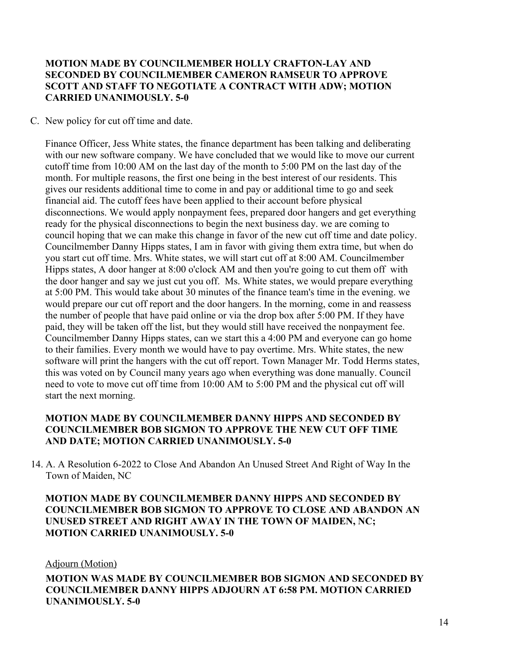## **MOTION MADE BY COUNCILMEMBER HOLLY CRAFTON-LAY AND SECONDED BY COUNCILMEMBER CAMERON RAMSEUR TO APPROVE SCOTT AND STAFF TO NEGOTIATE A CONTRACT WITH ADW; MOTION CARRIED UNANIMOUSLY. 5-0**

#### C. New policy for cut off time and date.

Finance Officer, Jess White states, the finance department has been talking and deliberating with our new software company. We have concluded that we would like to move our current cutoff time from 10:00 AM on the last day of the month to 5:00 PM on the last day of the month. For multiple reasons, the first one being in the best interest of our residents. This gives our residents additional time to come in and pay or additional time to go and seek financial aid. The cutoff fees have been applied to their account before physical disconnections. We would apply nonpayment fees, prepared door hangers and get everything ready for the physical disconnections to begin the next business day. we are coming to council hoping that we can make this change in favor of the new cut off time and date policy. Councilmember Danny Hipps states, I am in favor with giving them extra time, but when do you start cut off time. Mrs. White states, we will start cut off at 8:00 AM. Councilmember Hipps states, A door hanger at 8:00 o'clock AM and then you're going to cut them off with the door hanger and say we just cut you off. Ms. White states, we would prepare everything at 5:00 PM. This would take about 30 minutes of the finance team's time in the evening. we would prepare our cut off report and the door hangers. In the morning, come in and reassess the number of people that have paid online or via the drop box after 5:00 PM. If they have paid, they will be taken off the list, but they would still have received the nonpayment fee. Councilmember Danny Hipps states, can we start this a 4:00 PM and everyone can go home to their families. Every month we would have to pay overtime. Mrs. White states, the new software will print the hangers with the cut off report. Town Manager Mr. Todd Herms states, this was voted on by Council many years ago when everything was done manually. Council need to vote to move cut off time from 10:00 AM to 5:00 PM and the physical cut off will start the next morning.

## **MOTION MADE BY COUNCILMEMBER DANNY HIPPS AND SECONDED BY COUNCILMEMBER BOB SIGMON TO APPROVE THE NEW CUT OFF TIME AND DATE; MOTION CARRIED UNANIMOUSLY. 5-0**

14. A. A Resolution 6-2022 to Close And Abandon An Unused Street And Right of Way In the Town of Maiden, NC

## **MOTION MADE BY COUNCILMEMBER DANNY HIPPS AND SECONDED BY COUNCILMEMBER BOB SIGMON TO APPROVE TO CLOSE AND ABANDON AN UNUSED STREET AND RIGHT AWAY IN THE TOWN OF MAIDEN, NC; MOTION CARRIED UNANIMOUSLY. 5-0**

#### Adjourn (Motion)

**MOTION WAS MADE BY COUNCILMEMBER BOB SIGMON AND SECONDED BY COUNCILMEMBER DANNY HIPPS ADJOURN AT 6:58 PM. MOTION CARRIED UNANIMOUSLY. 5-0**